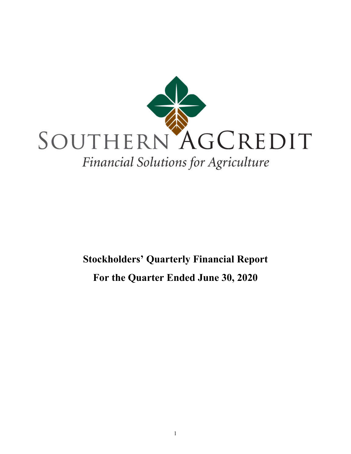

# **Stockholders' Quarterly Financial Report For the Quarter Ended June 30, 2020**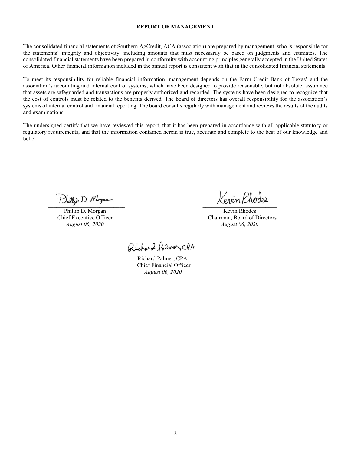#### **REPORT OF MANAGEMENT**

The consolidated financial statements of Southern AgCredit, ACA (association) are prepared by management, who is responsible for the statements' integrity and objectivity, including amounts that must necessarily be based on judgments and estimates. The consolidated financial statements have been prepared in conformity with accounting principles generally accepted in the United States of America. Other financial information included in the annual report is consistent with that in the consolidated financial statements

To meet its responsibility for reliable financial information, management depends on the Farm Credit Bank of Texas' and the association's accounting and internal control systems, which have been designed to provide reasonable, but not absolute, assurance that assets are safeguarded and transactions are properly authorized and recorded. The systems have been designed to recognize that the cost of controls must be related to the benefits derived. The board of directors has overall responsibility for the association's systems of internal control and financial reporting. The board consults regularly with management and reviews the results of the audits and examinations.

The undersigned certify that we have reviewed this report, that it has been prepared in accordance with all applicable statutory or regulatory requirements, and that the information contained herein is true, accurate and complete to the best of our knowledge and belief.

Phillip D. Morgan

Phillip D. Morgan Kevin Rhodes Chief Executive Officer<br> *August 06, 2020*<br> *August 06, 2020*<br> *August 06, 2020 August 06, 2020 August 06, 2020*

Richard Polmer, CPA

Richard Palmer, CPA Chief Financial Officer  *August 06, 2020*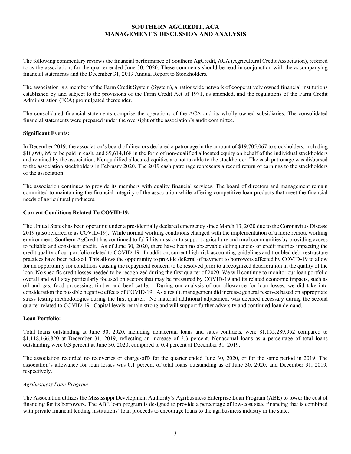# **SOUTHERN AGCREDIT, ACA MANAGEMENT'S DISCUSSION AND ANALYSIS**

The following commentary reviews the financial performance of Southern AgCredit, ACA (Agricultural Credit Association), referred to as the association, for the quarter ended June 30, 2020. These comments should be read in conjunction with the accompanying financial statements and the December 31, 2019 Annual Report to Stockholders.

The association is a member of the Farm Credit System (System), a nationwide network of cooperatively owned financial institutions established by and subject to the provisions of the Farm Credit Act of 1971, as amended, and the regulations of the Farm Credit Administration (FCA) promulgated thereunder.

The consolidated financial statements comprise the operations of the ACA and its wholly-owned subsidiaries. The consolidated financial statements were prepared under the oversight of the association's audit committee.

#### **Significant Events:**

In December 2019, the association's board of directors declared a patronage in the amount of \$19,705,067 to stockholders, including \$10,090,899 to be paid in cash, and \$9,614,168 in the form of non-qualified allocated equity on behalf of the individual stockholders and retained by the association. Nonqualified allocated equities are not taxable to the stockholder. The cash patronage was disbursed to the association stockholders in February 2020. The 2019 cash patronage represents a record return of earnings to the stockholders of the association.

The association continues to provide its members with quality financial services. The board of directors and management remain committed to maintaining the financial integrity of the association while offering competitive loan products that meet the financial needs of agricultural producers.

## **Current Conditions Related To COVID-19:**

The United States has been operating under a presidentially declared emergency since March 13, 2020 due to the Coronavirus Disease 2019 (also referred to as COVID-19). While normal working conditions changed with the implementation of a more remote working environment, Southern AgCredit has continued to fulfill its mission to support agriculture and rural communities by providing access to reliable and consistent credit. As of June 30, 2020, there have been no observable delinquencies or credit metrics impacting the credit quality of our portfolio related to COVID-19. In addition, current high-risk accounting guidelines and troubled debt restructure practices have been relaxed. This allows the opportunity to provide deferral of payment to borrowers affected by COVID-19 to allow for an opportunity for conditions causing the repayment concern to be resolved prior to a recognized deterioration in the quality of the loan. No specific credit losses needed to be recognized during the first quarter of 2020. We will continue to monitor our loan portfolio overall and will stay particularly focused on sectors that may be pressured by COVID-19 and its related economic impacts, such as oil and gas, food processing, timber and beef cattle. During our analysis of our allowance for loan losses, we did take into consideration the possible negative effects of COVID-19. As a result, management did increase general reserves based on appropriate stress testing methodologies during the first quarter. No material additional adjustment was deemed necessary during the second quarter related to COVID-19. Capital levels remain strong and will support further adversity and continued loan demand.

#### **Loan Portfolio:**

Total loans outstanding at June 30, 2020, including nonaccrual loans and sales contracts, were \$1,155,289,952 compared to \$1,118,166,820 at December 31, 2019, reflecting an increase of 3.3 percent. Nonaccrual loans as a percentage of total loans outstanding were 0.3 percent at June 30, 2020, compared to 0.4 percent at December 31, 2019.

The association recorded no recoveries or charge-offs for the quarter ended June 30, 2020, or for the same period in 2019. The association's allowance for loan losses was 0.1 percent of total loans outstanding as of June 30, 2020, and December 31, 2019, respectively.

#### *Agribusiness Loan Program*

The Association utilizes the Mississippi Development Authority's Agribusiness Enterprise Loan Program (ABE) to lower the cost of financing for its borrowers. The ABE loan program is designed to provide a percentage of low-cost state financing that is combined with private financial lending institutions' loan proceeds to encourage loans to the agribusiness industry in the state.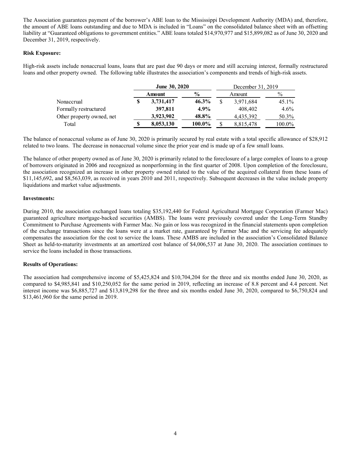The Association guarantees payment of the borrower's ABE loan to the Mississippi Development Authority (MDA) and, therefore, the amount of ABE loans outstanding and due to MDA is included in "Loans" on the consolidated balance sheet with an offsetting liability at "Guaranteed obligations to government entities." ABE loans totaled \$14,970,977 and \$15,899,082 as of June 30, 2020 and December 31, 2019, respectively.

## **Risk Exposure:**

High-risk assets include nonaccrual loans, loans that are past due 90 days or more and still accruing interest, formally restructured loans and other property owned. The following table illustrates the association's components and trends of high-risk assets.

|                           | <b>June 30, 2020</b> |               |  | December 31, 2019 |         |  |  |
|---------------------------|----------------------|---------------|--|-------------------|---------|--|--|
|                           | Amount               | $\frac{6}{9}$ |  | Amount            | $\%$    |  |  |
| Nonaccrual                | 3,731,417            | $46.3\%$      |  | 3,971,684         | 45.1%   |  |  |
| Formally restructured     | 397,811              | 4.9%          |  | 408,402           | $4.6\%$ |  |  |
| Other property owned, net | 3,923,902            | 48.8%         |  | 4,435,392         | 50.3%   |  |  |
| Total                     | 8,053,130            | 100.0%        |  | 8,815,478         | 100.0%  |  |  |

The balance of nonaccrual volume as of June 30, 2020 is primarily secured by real estate with a total specific allowance of \$28,912 related to two loans. The decrease in nonaccrual volume since the prior year end is made up of a few small loans.

The balance of other property owned as of June 30, 2020 is primarily related to the foreclosure of a large complex of loans to a group of borrowers originated in 2006 and recognized as nonperforming in the first quarter of 2008. Upon completion of the foreclosure, the association recognized an increase in other property owned related to the value of the acquired collateral from these loans of \$11,145,692, and \$8,563,039, as received in years 2010 and 2011, respectively. Subsequent decreases in the value include property liquidations and market value adjustments.

## **Investments:**

During 2010, the association exchanged loans totaling \$35,192,440 for Federal Agricultural Mortgage Corporation (Farmer Mac) guaranteed agriculture mortgage-backed securities (AMBS). The loans were previously covered under the Long-Term Standby Commitment to Purchase Agreements with Farmer Mac. No gain or loss was recognized in the financial statements upon completion of the exchange transactions since the loans were at a market rate, guaranteed by Farmer Mac and the servicing fee adequately compensates the association for the cost to service the loans. These AMBS are included in the association's Consolidated Balance Sheet as held-to-maturity investments at an amortized cost balance of \$4,006,537 at June 30, 2020. The association continues to service the loans included in those transactions.

# **Results of Operations:**

The association had comprehensive income of \$5,425,824 and \$10,704,204 for the three and six months ended June 30, 2020, as compared to \$4,985,841 and \$10,250,052 for the same period in 2019, reflecting an increase of 8.8 percent and 4.4 percent. Net interest income was \$6,885,727 and \$13,819,298 for the three and six months ended June 30, 2020, compared to \$6,750,824 and \$13,461,960 for the same period in 2019.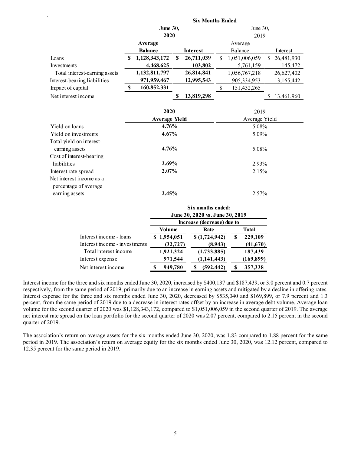|                               |   |                                              |             |            | <b>Six Months Ended</b>   |               |    |            |  |
|-------------------------------|---|----------------------------------------------|-------------|------------|---------------------------|---------------|----|------------|--|
|                               |   | <b>June 30,</b>                              |             |            | June 30,                  |               |    |            |  |
|                               |   | 2020                                         |             |            | 2019                      |               |    |            |  |
|                               |   | Average<br><b>Balance</b><br><b>Interest</b> |             |            | Average                   |               |    |            |  |
|                               |   |                                              |             |            |                           | Balance       |    | Interest   |  |
| Loans                         | S | 1,128,343,172                                | $\mathbf S$ | 26,711,039 | $\mathcal{S}$             | 1,051,006,059 | \$ | 26,481,930 |  |
| Investments                   |   | 4,468,625                                    |             | 103,802    |                           | 5,761,159     |    | 145,472    |  |
| Total interest-earning assets |   | 1,132,811,797                                |             | 26,814,841 |                           | 1,056,767,218 |    | 26,627,402 |  |
| Interest-bearing liabilities  |   | 971,959,467                                  |             | 12,995,543 |                           | 905,334,953   |    | 13,165,442 |  |
| Impact of capital             | S | 160,852,331                                  |             |            | $\boldsymbol{\mathsf{S}}$ | 151,432,265   |    |            |  |
| Net interest income           |   |                                              | \$          | 13,819,298 |                           |               | \$ | 13,461,960 |  |
|                               |   |                                              |             |            |                           |               |    |            |  |
|                               |   | 2020                                         |             |            |                           | 2019          |    |            |  |
|                               |   | <b>Average Yield</b>                         |             |            |                           | Average Yield |    |            |  |
| Yield on loans                |   | 4.76%                                        |             |            |                           | 5.08%         |    |            |  |
| Yield on investments          |   | $4.67\%$                                     |             |            | 5.09%                     |               |    |            |  |
| Total yield on interest-      |   |                                              |             |            |                           |               |    |            |  |
| earning assets                |   | 4.76%                                        |             |            |                           | 5.08%         |    |            |  |
| Cost of interest-bearing      |   |                                              |             |            |                           |               |    |            |  |
| liabilities                   |   | 2.69%                                        |             |            |                           | 2.93%         |    |            |  |
| Interest rate spread          |   | $2.07\%$                                     |             |            |                           | 2.15%         |    |            |  |
| Net interest income as a      |   |                                              |             |            |                           |               |    |            |  |
| percentage of average         |   |                                              |             |            |                           |               |    |            |  |
| earning assets                |   | 2.45%                                        |             |            |                           | 2.57%         |    |            |  |
|                               |   |                                              |             |            |                           |               |    |            |  |

|                               | Six months ended:<br>June 30, 2020 vs. June 30, 2019 |           |  |               |   |              |  |
|-------------------------------|------------------------------------------------------|-----------|--|---------------|---|--------------|--|
|                               | Increase (decrease) due to                           |           |  |               |   |              |  |
|                               |                                                      | Volume    |  | Rate          |   | <b>Total</b> |  |
| Interest income - loans       |                                                      | 1,954,051 |  | \$(1,724,942) | S | 229,109      |  |
| Interest income - investments |                                                      | (32, 727) |  | (8,943)       |   | (41,670)     |  |
| Total interest income         |                                                      | 1,921,324 |  | (1,733,885)   |   | 187,439      |  |
| Interest expense              |                                                      | 971,544   |  | (1, 141, 443) |   | (169, 899)   |  |
| Net interest income           |                                                      | 949,780   |  | (592, 442)    | S | 357,338      |  |

Interest income for the three and six months ended June 30, 2020, increased by \$400,137 and \$187,439, or 3.0 percent and 0.7 percent respectively, from the same period of 2019, primarily due to an increase in earning assets and mitigated by a decline in offering rates. Interest expense for the three and six months ended June 30, 2020, decreased by \$535,040 and \$169,899, or 7.9 percent and 1.3 percent, from the same period of 2019 due to a decrease in interest rates offset by an increase in average debt volume. Average loan volume for the second quarter of 2020 was \$1,128,343,172, compared to \$1,051,006,059 in the second quarter of 2019. The average net interest rate spread on the loan portfolio for the second quarter of 2020 was 2.07 percent, compared to 2.15 percent in the second quarter of 2019.

The association's return on average assets for the six months ended June 30, 2020, was 1.83 compared to 1.88 percent for the same period in 2019. The association's return on average equity for the six months ended June 30, 2020, was 12.12 percent, compared to 12.35 percent for the same period in 2019.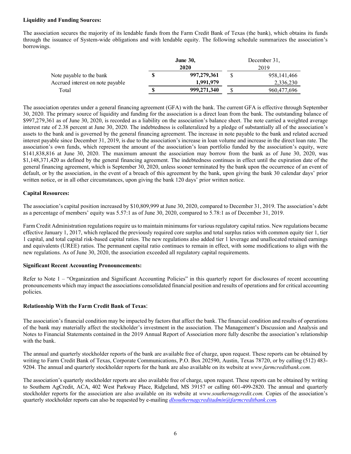## **Liquidity and Funding Sources:**

The association secures the majority of its lendable funds from the Farm Credit Bank of Texas (the bank), which obtains its funds through the issuance of System-wide obligations and with lendable equity. The following schedule summarizes the association's borrowings.

|                                  | <b>June 30,</b> | December 31,  |
|----------------------------------|-----------------|---------------|
|                                  | 2020            | 2019          |
| Note payable to the bank         | 997,279,361     | 958, 141, 466 |
| Accrued interest on note payable | 1,991,979       | 2,336,230     |
| Total                            | 999,271,340     | 960,477,696   |

The association operates under a general financing agreement (GFA) with the bank. The current GFA is effective through September 30, 2020. The primary source of liquidity and funding for the association is a direct loan from the bank. The outstanding balance of \$997,279,361 as of June 30, 2020, is recorded as a liability on the association's balance sheet. The note carried a weighted average interest rate of 2.38 percent at June 30, 2020. The indebtedness is collateralized by a pledge of substantially all of the association's assets to the bank and is governed by the general financing agreement. The increase in note payable to the bank and related accrued interest payable since December 31, 2019, is due to the association's increase in loan volume and increase in the direct loan rate. The association's own funds, which represent the amount of the association's loan portfolio funded by the association's equity, were \$141,838,816 at June 30, 2020. The maximum amount the association may borrow from the bank as of June 30, 2020, was \$1,148,371,420 as defined by the general financing agreement. The indebtedness continues in effect until the expiration date of the general financing agreement, which is September 30, 2020, unless sooner terminated by the bank upon the occurrence of an event of default, or by the association, in the event of a breach of this agreement by the bank, upon giving the bank 30 calendar days' prior written notice, or in all other circumstances, upon giving the bank 120 days' prior written notice.

## **Capital Resources:**

The association's capital position increased by \$10,809,999 at June 30, 2020, compared to December 31, 2019. The association's debt as a percentage of members' equity was 5.57:1 as of June 30, 2020, compared to 5.78:1 as of December 31, 2019.

Farm Credit Administration regulations require us to maintain minimums for various regulatory capital ratios. New regulations became effective January 1, 2017, which replaced the previously required core surplus and total surplus ratios with common equity tier 1, tier 1 capital, and total capital risk-based capital ratios. The new regulations also added tier 1 leverage and unallocated retained earnings and equivalents (UREE) ratios. The permanent capital ratio continues to remain in effect, with some modifications to align with the new regulations. As of June 30, 2020, the association exceeded all regulatory capital requirements.

#### **Significant Recent Accounting Pronouncements:**

Refer to Note 1 – "Organization and Significant Accounting Policies" in this quarterly report for disclosures of recent accounting pronouncements which may impact the associations consolidated financial position and results of operations and for critical accounting policies.

## **Relationship With the Farm Credit Bank of Texas**:

The association's financial condition may be impacted by factors that affect the bank. The financial condition and results of operations of the bank may materially affect the stockholder's investment in the association. The Management's Discussion and Analysis and Notes to Financial Statements contained in the 2019 Annual Report of Association more fully describe the association's relationship with the bank.

The annual and quarterly stockholder reports of the bank are available free of charge, upon request. These reports can be obtained by writing to Farm Credit Bank of Texas, Corporate Communications, P.O. Box 202590, Austin, Texas 78720, or by calling (512) 483- 9204. The annual and quarterly stockholder reports for the bank are also available on its website at *www.farmcreditbank.com.*

The association's quarterly stockholder reports are also available free of charge, upon request. These reports can be obtained by writing to Southern AgCredit, ACA, 402 West Parkway Place, Ridgeland, MS 39157 or calling 601-499-2820. The annual and quarterly stockholder reports for the association are also available on its website at *www.southernagcredit.com.* Copies of the association's quarterly stockholder reports can also be requested by e-mailing *dlsouthernagcreditadmin@farmcreditbank.com.*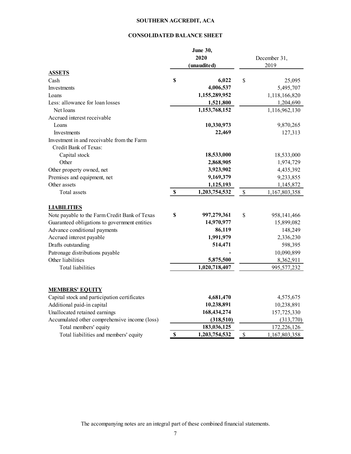# **SOUTHERN AGCREDIT, ACA**

# **CONSOLIDATED BALANCE SHEET**

|                                               | <b>June 30,</b><br>2020<br>(unaudited) |             | December 31,<br>2019 |
|-----------------------------------------------|----------------------------------------|-------------|----------------------|
| <b>ASSETS</b>                                 | \$                                     | $\mathbf S$ |                      |
| Cash                                          | 6,022<br>4,006,537                     |             | 25,095               |
| Investments<br>Loans                          | 1,155,289,952                          |             | 5,495,707            |
| Less: allowance for loan losses               | 1,521,800                              |             | 1,118,166,820        |
| Net loans                                     | 1,153,768,152                          |             | 1,204,690            |
| Accrued interest receivable                   |                                        |             | 1,116,962,130        |
| Loans                                         | 10,330,973                             |             | 9,870,265            |
| Investments                                   | 22,469                                 |             | 127,313              |
| Investment in and receivable from the Farm    |                                        |             |                      |
| Credit Bank of Texas:                         |                                        |             |                      |
| Capital stock                                 | 18,533,000                             |             | 18,533,000           |
| Other                                         | 2,868,905                              |             | 1,974,729            |
| Other property owned, net                     | 3,923,902                              |             | 4,435,392            |
| Premises and equipment, net                   | 9,169,379                              |             | 9,233,855            |
| Other assets                                  | 1,125,193                              |             | 1,145,872            |
| Total assets                                  | \$<br>1,203,754,532                    | \$          | 1,167,803,358        |
| <b>LIABILITIES</b>                            |                                        |             |                      |
| Note payable to the Farm Credit Bank of Texas | \$<br>997,279,361                      | \$          | 958,141,466          |
| Guaranteed obligations to government entities | 14,970,977                             |             | 15,899,082           |
| Advance conditional payments                  | 86,119                                 |             | 148,249              |
| Accrued interest payable                      | 1,991,979                              |             | 2,336,230            |
| Drafts outstanding                            | 514,471                                |             | 598,395              |
| Patronage distributions payable               |                                        |             | 10,090,899           |
| Other liabilities                             | 5,875,500                              |             | 8,362,911            |
| Total liabilities                             | 1,020,718,407                          |             | 995,577,232          |
| <b>MEMBERS' EQUITY</b>                        |                                        |             |                      |
| Capital stock and participation certificates  | 4,681,470                              |             | 4,575,675            |
| Additional paid-in capital                    | 10,238,891                             |             | 10,238,891           |
| Unallocated retained earnings                 | 168,434,274                            |             | 157,725,330          |
| Accumulated other comprehensive income (loss) | (318,510)                              |             | (313,770)            |
| Total members' equity                         | 183,036,125                            |             | 172,226,126          |
| Total liabilities and members' equity         | \$<br>1,203,754,532                    | $\$$        | 1,167,803,358        |

The accompanying notes are an integral part of these combined financial statements.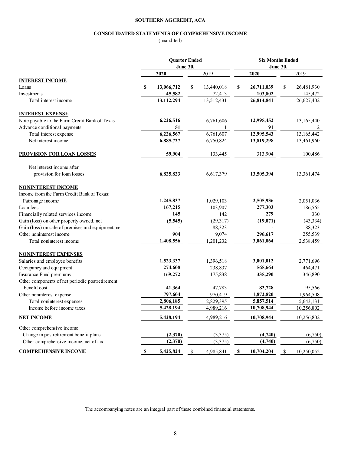#### **SOUTHERN AGCREDIT, ACA**

#### **CONSOLIDATED STATEMENTS OF COMPREHENSIVE INCOME**

(unaudited)

|                                                    | <b>Quarter Ended</b><br>June 30, |    |            | <b>Six Months Ended</b><br>June 30, |            |    |            |
|----------------------------------------------------|----------------------------------|----|------------|-------------------------------------|------------|----|------------|
|                                                    | 2020                             |    | 2019       |                                     | 2020       |    | 2019       |
| <b>INTEREST INCOME</b>                             |                                  |    |            |                                     |            |    |            |
| Loans                                              | \$<br>13,066,712                 | \$ | 13,440,018 | \$                                  | 26,711,039 | \$ | 26,481,930 |
| Investments                                        | 45,582                           |    | 72,413     |                                     | 103,802    |    | 145,472    |
| Total interest income                              | 13,112,294                       |    | 13,512,431 |                                     | 26,814,841 |    | 26,627,402 |
| <b>INTEREST EXPENSE</b>                            |                                  |    |            |                                     |            |    |            |
| Note payable to the Farm Credit Bank of Texas      | 6,226,516                        |    | 6,761,606  |                                     | 12,995,452 |    | 13,165,440 |
| Advance conditional payments                       | 51                               |    |            |                                     | 91         |    | 2          |
| Total interest expense                             | 6,226,567                        |    | 6,761,607  |                                     | 12,995,543 |    | 13,165,442 |
| Net interest income                                | 6,885,727                        |    | 6,750,824  |                                     | 13,819,298 |    | 13,461,960 |
| <b>PROVISION FOR LOAN LOSSES</b>                   | 59,904                           |    | 133,445    |                                     | 313,904    |    | 100,486    |
| Net interest income after                          |                                  |    |            |                                     |            |    |            |
| provision for loan losses                          | 6,825,823                        |    | 6,617,379  |                                     | 13,505,394 |    | 13,361,474 |
| <b>NONINTEREST INCOME</b>                          |                                  |    |            |                                     |            |    |            |
| Income from the Farm Credit Bank of Texas:         |                                  |    |            |                                     |            |    |            |
| Patronage income                                   | 1,245,837                        |    | 1,029,103  |                                     | 2,505,936  |    | 2,051,036  |
| Loan fees                                          | 167,215                          |    | 103,907    |                                     | 277,303    |    | 186,565    |
| Financially related services income                | 145                              |    | 142        |                                     | 279        |    | 330        |
| Gain (loss) on other property owned, net           | (5, 545)                         |    | (29, 317)  |                                     | (19,071)   |    | (43, 334)  |
| Gain (loss) on sale of premises and equipment, net |                                  |    | 88,323     |                                     |            |    | 88,323     |
| Other noninterest income                           | 904                              |    | 9,074      |                                     | 296,617    |    | 255,539    |
| Total noninterest income                           | 1,408,556                        |    | 1,201,232  |                                     | 3,061,064  |    | 2,538,459  |
| <b>NONINTEREST EXPENSES</b>                        |                                  |    |            |                                     |            |    |            |
| Salaries and employee benefits                     | 1,523,337                        |    | 1,396,518  |                                     | 3,001,012  |    | 2,771,696  |
| Occupancy and equipment                            | 274,608                          |    | 238,837    |                                     | 565,664    |    | 464,471    |
| Insurance Fund premiums                            | 169,272                          |    | 175,838    |                                     | 335,290    |    | 346,890    |
| Other components of net periodic postretirement    |                                  |    |            |                                     |            |    |            |
| benefit cost                                       | 41,364                           |    | 47,783     |                                     | 82,728     |    | 95,566     |
| Other noninterest expense                          | 797,604                          |    | 970,419    |                                     | 1,872,820  |    | 1,964,508  |
| Total noninterest expenses                         | 2,806,185                        |    | 2,829,395  |                                     | 5,857,514  |    | 5,643,131  |
| Income before income taxes                         | 5,428,194                        |    | 4,989,216  |                                     | 10,708,944 |    | 10,256,802 |
| <b>NET INCOME</b>                                  | 5,428,194                        |    | 4,989,216  |                                     | 10,708,944 |    | 10,256,802 |
| Other comprehensive income:                        |                                  |    |            |                                     |            |    |            |
| Change in postretirement benefit plans             | (2,370)                          |    | (3,375)    |                                     | (4,740)    |    | (6,750)    |
| Other comprehensive income, net of tax             | (2,370)                          |    | (3,375)    |                                     | (4,740)    |    | (6,750)    |
| <b>COMPREHENSIVE INCOME</b>                        | \$<br>5,425,824                  | \$ | 4,985,841  | $\mathbb S$                         | 10,704,204 | \$ | 10,250,052 |

The accompanying notes are an integral part of these combined financial statements.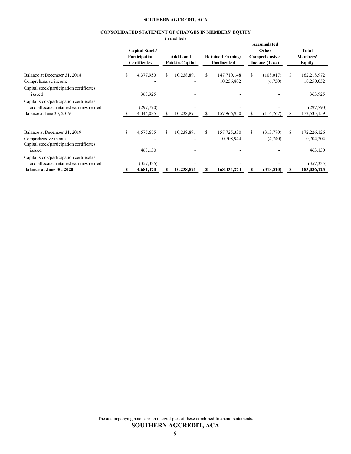#### **SOUTHERN AGCREDIT, ACA**

#### **CONSOLIDATED STATEMENT OF CHANGES IN MEMBERS' EQUITY**

(unaudited)

|                                                                                                  |                                                        |    | $\mu$                                |    |                                         |                                                        |               |                                    |
|--------------------------------------------------------------------------------------------------|--------------------------------------------------------|----|--------------------------------------|----|-----------------------------------------|--------------------------------------------------------|---------------|------------------------------------|
|                                                                                                  | Capital Stock/<br>Participation<br><b>Certificates</b> |    | <b>Additional</b><br>Paid-in-Capital |    | <b>Retained Earnings</b><br>Unallocated | Accumulated<br>Other<br>Comprehensive<br>Income (Loss) |               | Total<br>Members'<br><b>Equity</b> |
| Balance at December 31, 2018<br>Comprehensive income                                             | \$<br>4,377,950                                        | \$ | 10,238,891                           | S. | 147,710,148<br>10,256,802               | \$<br>(108, 017)<br>(6,750)                            | <sup>\$</sup> | 162,218,972<br>10,250,052          |
| Capital stock/participation certificates<br>issued                                               | 363,925                                                |    |                                      |    |                                         |                                                        |               | 363,925                            |
| Capital stock/participation certificates<br>and allocated retained earnings retired              | (297,790)                                              |    |                                      |    |                                         |                                                        |               | (297,790)                          |
| Balance at June 30, 2019                                                                         | 4,444,085                                              | S. | 10,238,891                           | S  | 157,966,950                             | \$<br>(114,767)                                        | S.            | 172,535,159                        |
| Balance at December 31, 2019<br>Comprehensive income<br>Capital stock/participation certificates | \$<br>4,575,675                                        | \$ | 10,238,891                           | S. | 157,725,330<br>10,708,944               | \$<br>(313,770)<br>(4,740)                             | S.            | 172,226,126<br>10,704,204          |
| issued                                                                                           | 463,130                                                |    |                                      |    |                                         |                                                        |               | 463,130                            |
| Capital stock/participation certificates<br>and allocated retained earnings retired              | (357, 335)                                             |    |                                      |    |                                         |                                                        |               | (357, 335)                         |
| Balance at June 30, 2020                                                                         | 4,681,470                                              |    | 10,238,891                           |    | 168,434,274                             | \$<br>(318, 510)                                       |               | 183,036,125                        |

**SOUTHERN AGCREDIT, ACA** The accompanying notes are an integral part of these combined financial statements.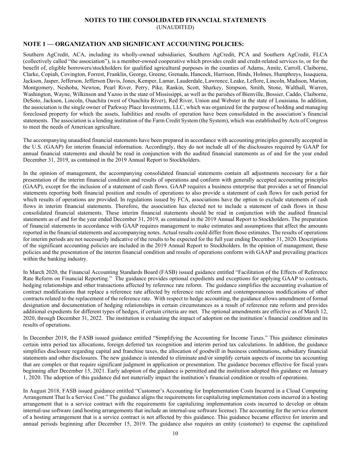# **NOTES TO THE CONSOLIDATED FINANCIAL STATEMENTS**

(UNAUDITED)

# **NOTE 1 — ORGANIZATION AND SIGNIFICANT ACCOUNTING POLICIES:**

Southern AgCredit, ACA, including its wholly-owned subsidiaries, Southern AgCredit, PCA and Southern AgCredit, FLCA (collectively called "the association"), is a member-owned cooperative which provides credit and credit-related services to, or for the benefit of, eligible borrowers/stockholders for qualified agricultural purposes in the counties of Adams, Amite, Carroll, Claiborne, Clarke, Copiah, Covington, Forrest, Franklin, George, Greene, Grenada, Hancock, Harrison, Hinds, Holmes, Humphreys, Issaquena, Jackson, Jasper, Jefferson, Jefferson Davis, Jones, Kemper, Lamar, Lauderdale, Lawrence, Leake, Leflore, Lincoln, Madison, Marion, Montgomery, Neshoba, Newton, Pearl River, Perry, Pike, Rankin, Scott, Sharkey, Simpson, Smith, Stone, Walthall, Warren, Washington, Wayne, Wilkinson and Yazoo in the state of Mississippi, as well as the parishes of Bienville, Bossier, Caddo, Claiborne, DeSoto, Jackson, Lincoln, Ouachita (west of Ouachita River), Red River, Union and Webster in the state of Louisiana. In addition, the association is the single owner of Parkway Place Investments, LLC, which was organized for the purpose of holding and managing foreclosed property for which the assets, liabilities and results of operation have been consolidated in the association's financial statements. The association is a lending institution of the Farm Credit System (the System), which was established by Acts of Congress to meet the needs of American agriculture.

The accompanying unaudited financial statements have been prepared in accordance with accounting principles generally accepted in the U.S. (GAAP) for interim financial information. Accordingly, they do not include all of the disclosures required by GAAP for annual financial statements and should be read in conjunction with the audited financial statements as of and for the year ended December 31, 2019, as contained in the 2019 Annual Report to Stockholders.

In the opinion of management, the accompanying consolidated financial statements contain all adjustments necessary for a fair presentation of the interim financial condition and results of operations and conform with generally accepted accounting principles (GAAP), except for the inclusion of a statement of cash flows. GAAP requires a business enterprise that provides a set of financial statements reporting both financial position and results of operations to also provide a statement of cash flows for each period for which results of operations are provided. In regulations issued by FCA, associations have the option to exclude statements of cash flows in interim financial statements. Therefore, the association has elected not to include a statement of cash flows in these consolidated financial statements. These interim financial statements should be read in conjunction with the audited financial statements as of and for the year ended December 31, 2019, as contained in the 2019 Annual Report to Stockholders. The preparation of financial statements in accordance with GAAP requires management to make estimates and assumptions that affect the amounts reported in the financial statements and accompanying notes. Actual results could differ from those estimates. The results of operations for interim periods are not necessarily indicative of the results to be expected for the full year ending December 31, 2020. Descriptions of the significant accounting policies are included in the 2019 Annual Report to Stockholders. In the opinion of management, these policies and the presentation of the interim financial condition and results of operations conform with GAAP and prevailing practices within the banking industry.

In March 2020, the Financial Accounting Standards Board (FASB) issued guidance entitled "Facilitation of the Effects of Reference Rate Reform on Financial Reporting." The guidance provides optional expedients and exceptions for applying GAAP to contracts, hedging relationships and other transactions affected by reference rate reform. The guidance simplifies the accounting evaluation of contract modifications that replace a reference rate affected by reference rate reform and contemporaneous modifications of other contracts related to the replacement of the reference rate. With respect to hedge accounting, the guidance allows amendment of formal designation and documentation of hedging relationships in certain circumstances as a result of reference rate reform and provides additional expedients for different types of hedges, if certain criteria are met. The optional amendments are effective as of March 12, 2020, through December 31, 2022. The institution is evaluating the impact of adoption on the institution's financial condition and its results of operations.

In December 2019, the FASB issued guidance entitled "Simplifying the Accounting for Income Taxes." This guidance eliminates certain intra period tax allocations, foreign deferred tax recognition and interim period tax calculations. In addition, the guidance simplifies disclosure regarding capital and franchise taxes, the allocation of goodwill in business combinations, subsidiary financial statements and other disclosures. The new guidance is intended to eliminate and/or simplify certain aspects of income tax accounting that are complex or that require significant judgment in application or presentation. The guidance becomes effective for fiscal years beginning after December 15, 2021. Early adoption of the guidance is permitted and the institution adopted this guidance on January 1, 2020. The adoption of this guidance did not materially impact the institution's financial condition or results of operations.

In August 2018, FASB issued guidance entitled "Customer's Accounting for Implementation Costs Incurred in a Cloud Computing Arrangement That Is a Service Cost." The guidance aligns the requirements for capitalizing implementation costs incurred in a hosting arrangement that is a service contract with the requirements for capitalizing implementation costs incurred to develop or obtain internal-use software (and hosting arrangements that include an internal-use software license). The accounting for the service element of a hosting arrangement that is a service contract is not affected by this guidance. This guidance became effective for interim and annual periods beginning after December 15, 2019. The guidance also requires an entity (customer) to expense the capitalized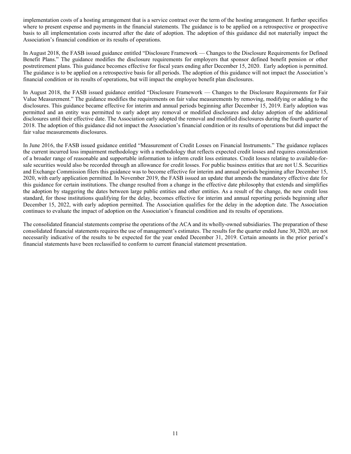implementation costs of a hosting arrangement that is a service contract over the term of the hosting arrangement. It further specifies where to present expense and payments in the financial statements. The guidance is to be applied on a retrospective or prospective basis to all implementation costs incurred after the date of adoption. The adoption of this guidance did not materially impact the Association's financial condition or its results of operations.

In August 2018, the FASB issued guidance entitled "Disclosure Framework — Changes to the Disclosure Requirements for Defined Benefit Plans." The guidance modifies the disclosure requirements for employers that sponsor defined benefit pension or other postretirement plans. This guidance becomes effective for fiscal years ending after December 15, 2020. Early adoption is permitted. The guidance is to be applied on a retrospective basis for all periods. The adoption of this guidance will not impact the Association's financial condition or its results of operations, but will impact the employee benefit plan disclosures.

In August 2018, the FASB issued guidance entitled "Disclosure Framework — Changes to the Disclosure Requirements for Fair Value Measurement." The guidance modifies the requirements on fair value measurements by removing, modifying or adding to the disclosures. This guidance became effective for interim and annual periods beginning after December 15, 2019. Early adoption was permitted and an entity was permitted to early adopt any removal or modified disclosures and delay adoption of the additional disclosures until their effective date. The Association early adopted the removal and modified disclosures during the fourth quarter of 2018. The adoption of this guidance did not impact the Association's financial condition or its results of operations but did impact the fair value measurements disclosures.

In June 2016, the FASB issued guidance entitled "Measurement of Credit Losses on Financial Instruments." The guidance replaces the current incurred loss impairment methodology with a methodology that reflects expected credit losses and requires consideration of a broader range of reasonable and supportable information to inform credit loss estimates. Credit losses relating to available-forsale securities would also be recorded through an allowance for credit losses. For public business entities that are not U.S. Securities and Exchange Commission filers this guidance was to become effective for interim and annual periods beginning after December 15, 2020, with early application permitted. In November 2019, the FASB issued an update that amends the mandatory effective date for this guidance for certain institutions. The change resulted from a change in the effective date philosophy that extends and simplifies the adoption by staggering the dates between large public entities and other entities. As a result of the change, the new credit loss standard, for those institutions qualifying for the delay, becomes effective for interim and annual reporting periods beginning after December 15, 2022, with early adoption permitted. The Association qualifies for the delay in the adoption date. The Association continues to evaluate the impact of adoption on the Association's financial condition and its results of operations.

The consolidated financial statements comprise the operations of the ACA and its wholly-owned subsidiaries. The preparation of these consolidated financial statements requires the use of management's estimates. The results for the quarter ended June 30, 2020, are not necessarily indicative of the results to be expected for the year ended December 31, 2019. Certain amounts in the prior period's financial statements have been reclassified to conform to current financial statement presentation.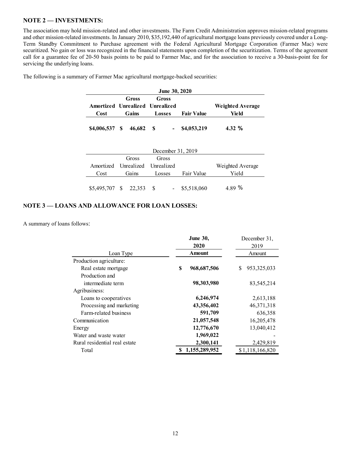# **NOTE 2 — INVESTMENTS:**

The association may hold mission-related and other investments. The Farm Credit Administration approves mission-related programs and other mission-related investments. In January 2010, \$35,192,440 of agricultural mortgage loans previously covered under a Long-Term Standby Commitment to Purchase agreement with the Federal Agricultural Mortgage Corporation (Farmer Mac) were securitized. No gain or loss was recognized in the financial statements upon completion of the securitization. Terms of the agreement call for a guarantee fee of 20-50 basis points to be paid to Farmer Mac, and for the association to receive a 30-basis-point fee for servicing the underlying loans.

| <b>June 30, 2020</b> |                                 |               |                   |                         |  |  |  |
|----------------------|---------------------------------|---------------|-------------------|-------------------------|--|--|--|
|                      | Gross                           | Gross         |                   |                         |  |  |  |
|                      | Amortized Unrealized Unrealized |               |                   | <b>Weighted Average</b> |  |  |  |
| Cost                 | Gains                           | <b>Losses</b> | <b>Fair Value</b> | Yield                   |  |  |  |
|                      |                                 |               |                   |                         |  |  |  |

The following is a summary of Farmer Mac agricultural mortgage-backed securities:

| December 31, 2019               |  |       |        |       |            |                  |
|---------------------------------|--|-------|--------|-------|------------|------------------|
|                                 |  | Gross |        | Gross |            |                  |
| Amortized Unrealized Unrealized |  |       |        |       |            | Weighted Average |
| Cost                            |  | Gains | Losses |       | Fair Value | Yield            |
|                                 |  |       |        |       |            |                  |

## **NOTE 3 — LOANS AND ALLOWANCE FOR LOAN LOSSES:**

A summary of loans follows:

|                               | <b>June 30,</b>    | December 31,         |
|-------------------------------|--------------------|----------------------|
|                               | 2020               | 2019                 |
| Loan Type                     | Amount             | Amount               |
| Production agriculture:       |                    |                      |
| Real estate mortgage          | S<br>968, 687, 506 | 953, 325, 033<br>\$. |
| Production and                |                    |                      |
| intermediate term             | 98,303,980         | 83,545,214           |
| Agribusiness:                 |                    |                      |
| Loans to cooperatives         | 6,246,974          | 2,613,188            |
| Processing and marketing      | 43,356,402         | 46,371,318           |
| Farm-related business         | 591,709            | 636,358              |
| Communication                 | 21,057,548         | 16,205,478           |
| Energy                        | 12,776,670         | 13,040,412           |
| Water and waste water         | 1,969,022          |                      |
| Rural residential real estate | 2,300,141          | 2,429,819            |
| Total                         | 1,155,289,952      | \$1,118,166,820      |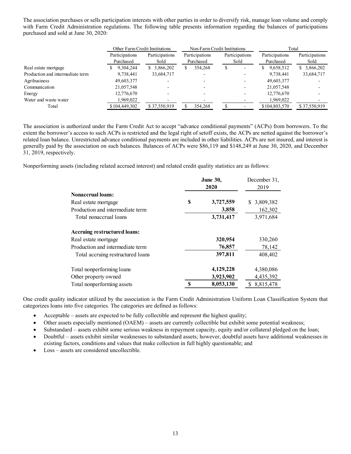The association purchases or sells participation interests with other parties in order to diversify risk, manage loan volume and comply with Farm Credit Administration regulations. The following table presents information regarding the balances of participations purchased and sold at June 30, 2020:

|                                  | Other Farm Credit Institutions |                        | Non-Farm Credit Institutions |                          | Total                       |                        |
|----------------------------------|--------------------------------|------------------------|------------------------------|--------------------------|-----------------------------|------------------------|
|                                  | Participations<br>Purchased    | Participations<br>Sold | Participations<br>Purchased  | Participations<br>Sold   | Participations<br>Purchased | Participations<br>Sold |
| Real estate mortgage             | 9,304,244<br>Y                 | \$3,866,202            | 354,268                      | S<br>-                   | 9,658,512<br>S.             | \$3,866,202            |
| Production and intermediate term | 9,738,441                      | 33,684,717             | $\overline{\phantom{a}}$     | $\overline{\phantom{0}}$ | 9,738,441                   | 33,684,717             |
| Agribusiness                     | 49,603,377                     |                        |                              | -                        | 49,603,377                  |                        |
| Communication                    | 21,057,548                     |                        |                              | $\overline{\phantom{a}}$ | 21,057,548                  |                        |
| Energy                           | 12,776,670                     |                        |                              | ۰                        | 12,776,670                  |                        |
| Water and waste water            | 1,969,022                      |                        |                              |                          | 1,969,022                   |                        |
| Total                            | \$104,449,302                  | \$37,550,919           | 354,268                      |                          | \$104,803,570               | \$37,550,919           |

The association is authorized under the Farm Credit Act to accept "advance conditional payments" (ACPs) from borrowers. To the extent the borrower's access to such ACPs is restricted and the legal right of setoff exists, the ACPs are netted against the borrower's related loan balance. Unrestricted advance conditional payments are included in other liabilities. ACPs are not insured, and interest is generally paid by the association on such balances. Balances of ACPs were \$86,119 and \$148,249 at June 30, 2020, and December 31, 2019, respectively.

Nonperforming assets (including related accrued interest) and related credit quality statistics are as follows:

|                                   |   | <b>June 30,</b><br>2020 | December 31,<br>2019 |  |  |
|-----------------------------------|---|-------------------------|----------------------|--|--|
| <b>Nonaccrual loans:</b>          |   |                         |                      |  |  |
| Real estate mortgage              | S | 3,727,559               | \$3,809,382          |  |  |
| Production and intermediate term  |   | 3,858                   | 162,302              |  |  |
| Total nonaccrual loans            |   | 3,731,417               | 3,971,684            |  |  |
| Accruing restructured loans:      |   |                         |                      |  |  |
| Real estate mortgage              |   | 320,954                 | 330,260              |  |  |
| Production and intermediate term  |   | 76,857                  | 78,142               |  |  |
| Total accruing restructured loans |   | 397,811                 | 408,402              |  |  |
| Total nonperforming loans         |   | 4,129,228               | 4,380,086            |  |  |
| Other property owned              |   | 3,923,902               | 4,435,392            |  |  |
| Total nonperforming assets        | S | 8,053,130               | \$ 8,815,478         |  |  |

One credit quality indicator utilized by the association is the Farm Credit Administration Uniform Loan Classification System that categorizes loans into five categories. The categories are defined as follows:

- Acceptable assets are expected to be fully collectible and represent the highest quality;
- Other assets especially mentioned (OAEM) assets are currently collectible but exhibit some potential weakness;
- Substandard assets exhibit some serious weakness in repayment capacity, equity and/or collateral pledged on the loan;
- Doubtful assets exhibit similar weaknesses to substandard assets; however, doubtful assets have additional weaknesses in existing factors, conditions and values that make collection in full highly questionable; and
- Loss assets are considered uncollectible.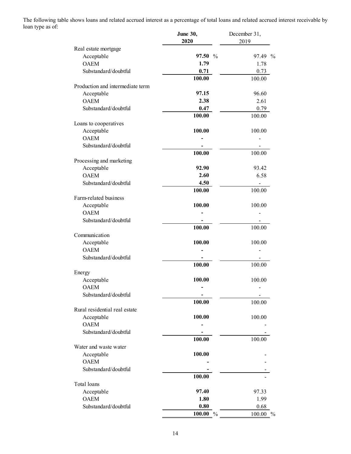The following table shows loans and related accrued interest as a percentage of total loans and related accrued interest receivable by loan type as of:

|                                  | <b>June 30,</b><br>2020 | December 31,<br>2019    |
|----------------------------------|-------------------------|-------------------------|
| Real estate mortgage             |                         |                         |
| Acceptable                       | 97.50%                  | 97.49<br>$\frac{0}{0}$  |
| <b>OAEM</b>                      | 1.79                    | 1.78                    |
| Substandard/doubtful             | 0.71                    | 0.73                    |
|                                  | 100.00                  | 100.00                  |
| Production and intermediate term |                         |                         |
| Acceptable                       | 97.15                   | 96.60                   |
| <b>OAEM</b>                      | 2.38                    | 2.61                    |
| Substandard/doubtful             | 0.47                    | 0.79                    |
|                                  | 100.00                  | 100.00                  |
| Loans to cooperatives            |                         |                         |
| Acceptable                       | 100.00                  | 100.00                  |
| <b>OAEM</b>                      |                         |                         |
| Substandard/doubtful             |                         |                         |
|                                  | 100.00                  | 100.00                  |
| Processing and marketing         |                         |                         |
| Acceptable                       | 92.90                   | 93.42                   |
| <b>OAEM</b>                      | 2.60                    | 6.58                    |
| Substandard/doubtful             | 4.50                    |                         |
|                                  | 100.00                  | 100.00                  |
| Farm-related business            |                         |                         |
| Acceptable                       | 100.00                  | 100.00                  |
| <b>OAEM</b>                      |                         |                         |
| Substandard/doubtful             |                         |                         |
|                                  | 100.00                  | 100.00                  |
| Communication                    |                         |                         |
| Acceptable                       | 100.00                  | 100.00                  |
| <b>OAEM</b>                      |                         |                         |
| Substandard/doubtful             |                         |                         |
|                                  | 100.00                  | 100.00                  |
| Energy                           |                         |                         |
| Acceptable                       | 100.00                  | 100.00                  |
| <b>OAEM</b>                      |                         |                         |
| Substandard/doubtful             |                         |                         |
|                                  | 100.00                  | 100.00                  |
| Rural residential real estate    |                         |                         |
| Acceptable                       | 100.00                  | 100.00                  |
| <b>OAEM</b>                      |                         |                         |
| Substandard/doubtful             |                         |                         |
|                                  | 100.00                  | 100.00                  |
| Water and waste water            |                         |                         |
| Acceptable                       | 100.00                  |                         |
| <b>OAEM</b>                      |                         |                         |
| Substandard/doubtful             |                         |                         |
|                                  | 100.00                  |                         |
| Total loans                      |                         |                         |
| Acceptable                       | 97.40                   | 97.33                   |
| <b>OAEM</b>                      | 1.80                    | 1.99                    |
| Substandard/doubtful             | $\boldsymbol{0.80}$     | 0.68                    |
|                                  | $100.00\%$              | 100.00<br>$\frac{0}{0}$ |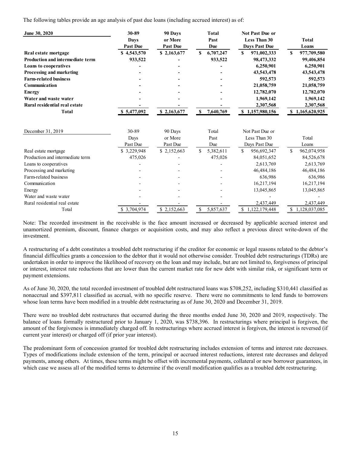The following tables provide an age analysis of past due loans (including accrued interest) as of:

| June 30, 2020                           | 30-89           | 90 Days                  | <b>Total</b>    | <b>Not Past Due or</b> |                  |
|-----------------------------------------|-----------------|--------------------------|-----------------|------------------------|------------------|
|                                         | Davs            | or More                  | Past            | <b>Less Than 30</b>    | <b>Total</b>     |
|                                         | <b>Past Due</b> | <b>Past Due</b>          | Due             | Days Past Due          | Loans            |
| Real estate mortgage                    | \$4,543,570     | \$2,163,677              | 6,707,247<br>S  | 971,002,333<br>S       | 977,709,580<br>S |
| <b>Production and intermediate term</b> | 933,522         | $\overline{\phantom{0}}$ | 933,522         | 98,473,332             | 99,406,854       |
| <b>Loans to cooperatives</b>            | ۰               |                          | $\blacksquare$  | 6,250,901              | 6,250,901        |
| Processing and marketing                |                 |                          | $\blacksquare$  | 43,543,478             | 43,543,478       |
| <b>Farm-related business</b>            |                 |                          | $\blacksquare$  | 592,573                | 592,573          |
| <b>Communication</b>                    |                 |                          | $\blacksquare$  | 21,058,759             | 21,058,759       |
| Energy                                  |                 |                          | $\blacksquare$  | 12,782,070             | 12,782,070       |
| Water and waste water                   |                 |                          | $\blacksquare$  | 1,969,142              | 1,969,142        |
| Rural residential real estate           |                 |                          |                 | 2,307,568              | 2,307,568        |
| Total                                   | \$5,477,092     | \$2,163,677              | 7,640,769<br>S. | \$1,157,980,156        | \$1,165,620,925  |

| December 31, 2019                | 30-89        | 90 Days     | Total          | Not Past Due or  |                  |
|----------------------------------|--------------|-------------|----------------|------------------|------------------|
|                                  | Days         | or More     | Past           | Less Than 30     | Total            |
|                                  | Past Due     | Past Due    | Due            | Days Past Due    | Loans            |
| Real estate mortgage             | \$3,229,948  | \$2,152,663 | 5,382,611<br>У | 956,692,347<br>S | 962,074,958<br>S |
| Production and intermediate term | 475,026      |             | 475,026        | 84,051,652       | 84,526,678       |
| Loans to cooperatives            |              |             |                | 2,613,769        | 2,613,769        |
| Processing and marketing         |              |             |                | 46,484,186       | 46,484,186       |
| Farm-related business            |              |             |                | 636,986          | 636,986          |
| Communication                    |              |             |                | 16,217,194       | 16,217,194       |
| Energy                           |              |             |                | 13.045.865       | 13.045.865       |
| Water and waste water            |              |             |                |                  |                  |
| Rural residential real estate    |              |             |                | 2,437,449        | 2,437,449        |
| Total                            | \$ 3,704,974 | \$2,152,663 | 5,857,637      | 1,122,179,448    | 1,128,037,085    |

Note: The recorded investment in the receivable is the face amount increased or decreased by applicable accrued interest and unamortized premium, discount, finance charges or acquisition costs, and may also reflect a previous direct write-down of the investment.

A restructuring of a debt constitutes a troubled debt restructuring if the creditor for economic or legal reasons related to the debtor's financial difficulties grants a concession to the debtor that it would not otherwise consider. Troubled debt restructurings (TDRs) are undertaken in order to improve the likelihood of recovery on the loan and may include, but are not limited to, forgiveness of principal or interest, interest rate reductions that are lower than the current market rate for new debt with similar risk, or significant term or payment extensions.

As of June 30, 2020, the total recorded investment of troubled debt restructured loans was \$708,252, including \$310,441 classified as nonaccrual and \$397,811 classified as accrual, with no specific reserve. There were no commitments to lend funds to borrowers whose loan terms have been modified in a trouble debt restructuring as of June 30, 2020 and December 31, 2019.

There were no troubled debt restructures that occurred during the three months ended June 30, 2020 and 2019, respectively. The balance of loans formally restructured prior to January 1, 2020, was \$738,396. In restructurings where principal is forgiven, the amount of the forgiveness is immediately charged off. In restructurings where accrued interest is forgiven, the interest is reversed (if current year interest) or charged off (if prior year interest).

The predominant form of concession granted for troubled debt restructuring includes extension of terms and interest rate decreases. Types of modifications include extension of the term, principal or accrued interest reductions, interest rate decreases and delayed payments, among others. At times, these terms might be offset with incremental payments, collateral or new borrower guarantees, in which case we assess all of the modified terms to determine if the overall modification qualifies as a troubled debt restructuring.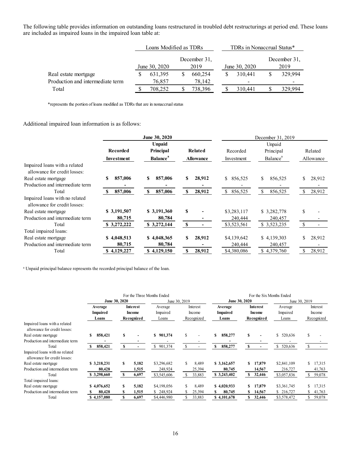The following table provides information on outstanding loans restructured in troubled debt restructurings at period end. These loans are included as impaired loans in the impaired loan table at:

|                                  | Loans Modified as TDRs                |         |               | TDRs in Nonaccrual Status* |   |                          |  |         |
|----------------------------------|---------------------------------------|---------|---------------|----------------------------|---|--------------------------|--|---------|
|                                  | December 31,<br>June 30, 2020<br>2019 |         | June 30, 2020 |                            |   | December 31,<br>2019     |  |         |
| Real estate mortgage             |                                       | 631,395 |               | 660,254                    | S | 310.441                  |  | 329,994 |
| Production and intermediate term |                                       | 76.857  |               | 78,142                     |   | $\overline{\phantom{0}}$ |  |         |
| Total                            |                                       | 708.252 |               | 738,396                    |   | 310.441                  |  | 329.994 |

\*represents the portion of loans modified as TDRs that are in nonaccrual status

## Additional impaired loan information is as follows:

|                                                                | June 30, 2020 |                             |                  | December 31, 2019 |                      |               |  |  |
|----------------------------------------------------------------|---------------|-----------------------------|------------------|-------------------|----------------------|---------------|--|--|
|                                                                |               | <b>Unpaid</b>               |                  | Unpaid            |                      |               |  |  |
|                                                                | Recorded      | Principal                   | Related          | Recorded          | Principal            | Related       |  |  |
|                                                                | Investment    | <b>Balance</b> <sup>a</sup> | <b>Allowance</b> | Investment        | Balance <sup>a</sup> | Allowance     |  |  |
| Impaired loans with a related<br>allowance for credit losses:  |               |                             |                  |                   |                      |               |  |  |
| Real estate mortgage                                           | S<br>857,006  | 857,006<br>S                | 28,912<br>S      | S.<br>856,525     | \$<br>856,525        | 28,912<br>\$  |  |  |
| Production and intermediate term                               |               |                             |                  |                   |                      |               |  |  |
| Total                                                          | 857,006<br>S  | 857,006<br>S                | 28,912<br>S      | \$<br>856,525     | \$<br>856,525        | 28,912<br>\$. |  |  |
| Impaired loans with no related<br>allowance for credit losses: |               |                             |                  |                   |                      |               |  |  |
| Real estate mortgage                                           | \$3,191,507   | \$3,191,360                 | S                | \$3,283,117       | \$3,282,778          | \$            |  |  |
| Production and intermediate term                               | 80,715        | 80,784                      |                  | 240,444           | 240,457              |               |  |  |
| Total                                                          | \$3,272,222   | \$3,272,144                 | S                | \$3,523,561       | \$3,523,235          |               |  |  |
| Total impaired loans:                                          |               |                             |                  |                   |                      |               |  |  |
| Real estate mortgage                                           | \$4,048,513   | \$4,048,365                 | 28,912<br>S      | \$4,139,642       | \$4,139,303          | 28,912<br>\$  |  |  |
| Production and intermediate term                               | 80,715        | 80,784                      |                  | 240,444           | 240,457              |               |  |  |
| Total                                                          | 4,129,227     | \$4,129,150                 | S<br>28,912      | \$4,380,086       | 4,379,760<br>S.      | 28,912<br>-S  |  |  |

<sup>a</sup> Unpaid principal balance represents the recorded principal balance of the loan.

|                                                                |                                     |               |                                  | For the Three Months Ended   |    |                                  |               |                                     |   | For the Six Months Ended         |    |                              |     |                                  |
|----------------------------------------------------------------|-------------------------------------|---------------|----------------------------------|------------------------------|----|----------------------------------|---------------|-------------------------------------|---|----------------------------------|----|------------------------------|-----|----------------------------------|
|                                                                |                                     | June 30, 2020 |                                  | June 30, 2019                |    |                                  | June 30, 2020 |                                     |   | June 30, 2019                    |    |                              |     |                                  |
|                                                                | Average<br><b>Impaired</b><br>Loans |               | Interest<br>Income<br>Recognized | Average<br>Impaired<br>Loans |    | Interest<br>Income<br>Recognized |               | Average<br><b>Impaired</b><br>Loans |   | Interest<br>Income<br>Recognized |    | Average<br>Impaired<br>Loans |     | Interest<br>Income<br>Recognized |
| Impaired loans with a related<br>allowance for credit losses:  |                                     |               |                                  |                              |    |                                  |               |                                     |   |                                  |    |                              |     |                                  |
| Real estate mortgage                                           | 858,421<br>S                        | \$            |                                  | S<br>901,374                 | \$ |                                  | S             | 858,277                             | S |                                  | S  | 520,636                      | S   |                                  |
| Production and intermediate term                               |                                     |               |                                  |                              |    |                                  |               |                                     |   |                                  |    |                              |     |                                  |
| Total                                                          | 858,421<br>S                        | S             |                                  | 901,374<br>\$                | \$ |                                  | S             | 858,277                             | s |                                  | S. | 520,636                      | S   |                                  |
| Impaired loans with no related<br>allowance for credit losses: |                                     |               |                                  |                              |    |                                  |               |                                     |   |                                  |    |                              |     |                                  |
| Real estate mortgage                                           | \$3,218,231                         | S             | 5,182                            | \$3,296,682                  |    | 8,489                            |               | \$3,162,657                         | S | 17,879                           |    | \$2,841,109                  | \$. | 17,315                           |
| Production and intermediate term                               | 80,428                              |               | 1,515                            | 248,924                      |    | 25,394                           |               | 80,745                              |   | 14,567                           |    | 216,727                      |     | 41,763                           |
| Total                                                          | \$3,298,660                         | <b>S</b>      | 6,697                            | \$3,545,606                  |    | 33,883                           |               | \$3,243,402                         | S | 32,446                           |    | \$3,057,836                  |     | 59,078                           |
| Total impaired loans:                                          |                                     |               |                                  |                              |    |                                  |               |                                     |   |                                  |    |                              |     |                                  |
| Real estate mortgage                                           | \$4,076,652                         | s             | 5,182                            | \$4,198,056                  |    | 8,489                            |               | \$4,020,933                         | S | 17,879                           |    | \$3,361,745                  |     | 17,315                           |
| Production and intermediate term                               | 80.428                              | S             | 1,515                            | 248,924<br>S.                |    | 25,394                           |               | 80,745                              | S | 14,567                           |    | \$ 216,727                   | S.  | 41,763                           |
| Total                                                          | \$4,157,080                         | S             | 6,697                            | \$4,446,980                  |    | 33,883                           |               | \$4.101.678                         |   | 32,446                           |    | \$3,578,472                  | \$. | 59,078                           |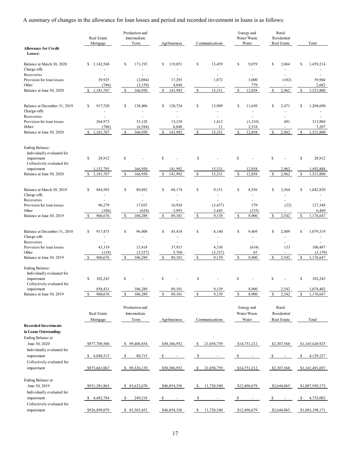A summary of changes in the allowance for loan losses and period end recorded investment in loans is as follows:

|                                                                                                                                            | Real Estate<br>Mortgage                 | Production and<br>Intermediate<br>Term | Agribusiness                              | Communications                       | Energy and<br>Water/Waste<br>Water  | Rural<br>Residential<br>Real Estate        | Total                                         |
|--------------------------------------------------------------------------------------------------------------------------------------------|-----------------------------------------|----------------------------------------|-------------------------------------------|--------------------------------------|-------------------------------------|--------------------------------------------|-----------------------------------------------|
| <b>Allowance for Credit</b><br>Losses:                                                                                                     |                                         |                                        |                                           |                                      |                                     |                                            |                                               |
| Balance at March 30, 2020<br>Charge-offs                                                                                                   | \$<br>1,142,568                         | \$<br>171,193                          | 119,851<br>\$                             | \$<br>13,459                         | 9,079<br>\$                         | \$<br>3,064                                | 1,459,214<br>S                                |
| Recoveries                                                                                                                                 |                                         |                                        |                                           | ÷,                                   | ä,                                  | $\sim$                                     |                                               |
| Provision for loan losses<br>Other                                                                                                         | 39,925<br>(786)                         | (2,084)<br>(2,159)                     | 17,293<br>4,848                           | 1,872<br>$\overline{\phantom{a}}$    | 3,000<br>779                        | (102)<br>$\overline{\phantom{a}}$          | 59,904<br>2,682                               |
| Balance at June 30, 2020                                                                                                                   | \$1,181,707                             | \$<br>166,950                          | 141,992<br>\$                             | \$<br>15,331                         | \$<br>12,858                        | 2,962<br>\$                                | \$<br>1,521,800                               |
| Balance at December 31, 2019<br>Charge-offs<br>Recoveries                                                                                  | 917,520<br>\$<br>$\overline{a}$<br>÷.   | \$<br>138,406                          | \$<br>120,734<br>$\overline{a}$           | \$<br>13,909<br>$\equiv$<br>÷.       | \$<br>11,650                        | \$<br>2,471<br>$\overline{a}$<br>÷         | \$<br>1,204,690                               |
| Provision for loan losses<br>Other                                                                                                         | 264,973<br>(786)                        | 35,128<br>(6, 584)                     | 13,210<br>8,048                           | 1,412<br>11                          | (1,310)<br>2,518                    | 491                                        | 313,904<br>3,207                              |
| Balance at June 30, 2020                                                                                                                   | \$1,181,707                             | \$<br>166,950                          | \$<br>141,992                             | $\mathbb{S}$<br>15,331               | $\mathbb{S}$<br>12,858              | $\mathbb{S}$<br>2,962                      | \$<br>1,521,800                               |
| <b>Ending Balance:</b><br>Individually evaluated for<br>impairment<br>Collectively evaluated for                                           | \$<br>28,912                            | \$                                     | \$                                        | \$                                   | \$                                  | \$                                         | \$<br>28,912                                  |
| impairment                                                                                                                                 | 1,152,795                               | 166,950<br>$\mathcal{S}$               | 141,992<br>141.992                        | 15,331<br>$\mathbb{S}$<br>15,331     | 12,858<br>$\mathcal{S}$             | 2,962<br>$\mathbb{S}$                      | 1,492,888                                     |
| Balance at June 30, 2020                                                                                                                   | \$<br>1,181,707                         | 166,950                                | \$                                        |                                      | 12,858                              | 2,962                                      | $\$$<br>1,521,800                             |
| Balance at March 30, 2019<br>Charge-offs<br>Recoveries                                                                                     | S<br>864,503                            | 89,882<br>\$                           | \$<br>68,174                              | \$<br>9,151<br>L.                    | \$<br>8,556<br>$\blacksquare$       | S<br>2,564<br>$\ddot{\phantom{1}}$         | \$<br>1,042,830                               |
| Provision for loan losses                                                                                                                  | 96,279                                  | 17,035                                 | 16,934                                    | (3, 457)                             | 579                                 | (22)                                       | 127,348                                       |
| Other<br>Balance at June 30, 2019                                                                                                          | (106)<br>\$<br>960,676                  | (628)<br>\$<br>106,289                 | 3,993<br>89,101<br>\$                     | 3,445<br>\$<br>9,139                 | (235)<br>\$<br>8,900                | 2,542<br>\$                                | 6,469<br>$\mathbb{S}$<br>1,176,647            |
|                                                                                                                                            |                                         |                                        |                                           |                                      |                                     |                                            |                                               |
| Balance at December 31, 2018<br>Charge-offs                                                                                                | \$<br>917,475                           | \$<br>96,408                           | \$<br>45,418<br>$\overline{a}$            | \$<br>8,140<br>$\equiv$              | \$<br>9,469                         | \$<br>2,409<br>$\overline{a}$              | \$<br>1,079,319                               |
| Recoveries                                                                                                                                 | $\ddot{\phantom{1}}$                    |                                        | $\overline{a}$                            | $\overline{a}$                       | $\overline{a}$                      | $\overline{a}$                             |                                               |
| Provision for loan losses                                                                                                                  | 43,319                                  | 15,418                                 | 37,915                                    | 4,336                                | (634)                               | 133                                        | 100,487                                       |
| Other<br>Balance at June 30, 2019                                                                                                          | (118)<br>960,676<br>S                   | (5, 537)<br>\$<br>106,289              | 5,768<br>89,101<br>S                      | (3, 337)<br>\$<br>9,139              | 65<br>\$<br>8,900                   | 2,542<br>-S                                | (3, 159)<br>\$<br>1,176,647                   |
| <b>Ending Balance:</b><br>Individually evaluated for<br>impairment<br>Collectively evaluated for<br>impairment<br>Balance at June 30, 2019 | S<br>102,245<br>858,431<br>960,676<br>S | \$<br>106,289<br>\$<br>106,289         | \$<br>89,101<br>\$<br>89,101              | \$<br>9,139<br>$\mathbb{S}$<br>9,139 | S<br>8,900<br>$\mathbb{S}$<br>8,900 | <b>S</b><br>2,542<br>$\mathbb{S}$<br>2,542 | \$<br>102,245<br>1,074,402<br>\$<br>1,176,647 |
|                                                                                                                                            | Real Estate<br>Mortgage                 | Production and<br>Intermediate<br>Term | Agribusiness                              | Communications                       | Energy and<br>Water/Waste<br>Water  | Rural<br>Residential<br>Real Estate        | Total                                         |
| <b>Recorded Investments</b><br>in Loans Outstanding:<br><b>Ending Balance at</b>                                                           |                                         |                                        |                                           |                                      |                                     |                                            |                                               |
| June 30, 2020<br>Individually evaluated for                                                                                                | \$977,709,580                           | \$99,406,854                           | \$50,386,952                              | 21,058,759<br><sup>\$</sup>          | \$14,751,212                        | \$2,307,568                                | \$1,165,620,925                               |
| impairment<br>Collectively evaluated for                                                                                                   | \$4,048,513                             | <b>S</b><br>80,715                     | $\mathcal{S}$<br>$\overline{\phantom{a}}$ | - \$<br>$\blacksquare$               | S.<br>$\overline{\phantom{a}}$      | -S                                         | \$<br>4,129,227                               |
| impairment                                                                                                                                 | \$973,661,067                           | \$99,326,139                           | \$50,386,952                              | \$<br>21,058,759                     | \$14,751,212                        | \$2,307,568                                | \$1,161,491,697                               |
| <b>Ending Balance at</b><br>June 30, 2019<br>Individually evaluated for                                                                    | \$931,381,863                           | \$ 83,632,670                          | \$46,054,356                              | \$<br>11,720,540                     | \$12,496,679                        | \$2,644,065                                | \$1,087,930,173                               |
| impairment                                                                                                                                 | \$4,482,784                             | - \$<br>249,218                        | -S                                        | \$                                   | -S                                  | \$                                         | \$<br>4,732,002                               |
| Collectively evaluated for<br>impairment                                                                                                   | \$926,899,079                           | \$ 83,383,452                          | \$46,054,356                              | $\mathbb{S}$<br>11,720,540           | \$12,496,679                        | \$2,644,065                                | \$1,083,198,171                               |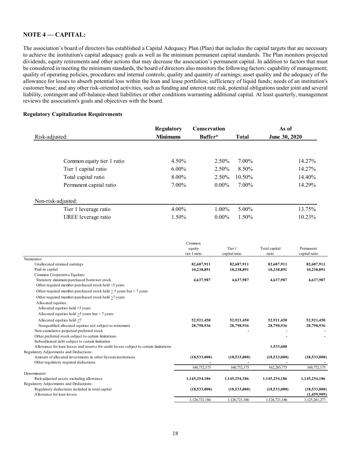# **NOTE 4 –– CAPITAL:**

The association's board of directors has established a Capital Adequacy Plan (Plan) that includes the capital targets that are necessary to achieve the institution's capital adequacy goals as well as the minimum permanent capital standards. The Plan monitors projected dividends, equity retirements and other actions that may decrease the association's permanent capital. In addition to factors that must be considered in meeting the minimum standards, the board of directors also monitors the following factors: capability of management; quality of operating policies, procedures and internal controls; quality and quantity of earnings; asset quality and the adequacy of the allowance for losses to absorb potential loss within the loan and lease portfolios; sufficiency of liquid funds; needs of an institution's customer base; and any other risk-oriented activities, such as funding and interest rate risk, potential obligations under joint and several liability, contingent and off-balance-sheet liabilities or other conditions warranting additional capital. At least quarterly, management reviews the association's goals and objectives with the board.

#### **Regulatory Capitalization Requirements**

| <b>Regulatory</b> | <b>Conservation</b> |              | As of         |
|-------------------|---------------------|--------------|---------------|
| <b>Minimums</b>   | Buffer*             | <b>Total</b> | June 30, 2020 |
|                   |                     |              |               |
| 4.50%             | 2.50%               | 7.00%        | 14.27%        |
| $6.00\%$          | 2.50%               | 8.50%        | 14.27%        |
| 8.00%             | $2.50\%$            | 10.50%       | 14.40%        |
| 7.00%             | $0.00\%$            | 7.00%        | 14.29%        |
|                   |                     |              |               |
| $4.00\%$          | $1.00\%$            | 5.00%        | 13.75%        |
| 1.50%             | $0.00\%$            | 1.50%        | 10.23%        |
|                   |                     |              |               |

|                                                                                        | Common        |               |               |               |
|----------------------------------------------------------------------------------------|---------------|---------------|---------------|---------------|
|                                                                                        | equity        | Tier 1        | Total capital | Permanent     |
|                                                                                        | tier 1 ratio  | capital ratio | ratio         | capital ratio |
| Numerator:                                                                             |               |               |               |               |
| Unallocated retained earnings                                                          | 82,687,911    | 82,687,911    | 82,687,911    | 82,687,911    |
| Paid-in capital                                                                        | 10,238,891    | 10,238,891    | 10,238,891    | 10,238,891    |
| Common Cooperative Equities:                                                           |               |               |               |               |
| Statutory minimum purchased borrower stock                                             | 4,637,987     | 4,637,987     | 4,637,987     | 4,637,987     |
| Other required member purchased stock held <5 years                                    |               |               |               |               |
| Other required member purchased stock held $>$ 5 years but < 7 years                   |               |               |               |               |
| Other required member purchased stock held >7 years                                    |               |               |               |               |
| Allocated equities:                                                                    |               |               |               |               |
| Allocated equities held <5 years                                                       |               |               |               |               |
| Allocated equities held $>5$ years but $< 7$ years                                     |               |               |               |               |
| Allocated equities held >7                                                             | 52,921,450    | 52,921,450    | 52,921,450    | 52,921,450    |
| Nonqualified allocated equities not subject to retirement                              | 28,798,936    | 28,798,936    | 28,798,936    | 28,798,936    |
| Non-cumulative perpetual preferred stock                                               |               |               |               |               |
| Other preferred stock subject to certain limitations                                   |               |               |               |               |
| Subordinated debt subject to certain limitation                                        |               |               |               |               |
| Allowance for loan losses and reserve for credit losses subject to certain limitations |               |               | 1,533,600     |               |
| Regulatory Adjustments and Deductions:                                                 |               |               |               |               |
| Amount of allocated investments in other System institutions                           | (18,533,000)  | (18,533,000)  | (18,533,000)  | (18,533,000)  |
| Other regulatory required deductions                                                   |               |               |               |               |
|                                                                                        | 160,752,175   | 160,752,175   | 162,285,775   | 160,752,175   |
| Denominator:                                                                           |               |               |               |               |
| Risk-adjusted assets excluding allowance                                               | 1,145,254,186 | 1,145,254,186 | 1,145,254,186 | 1,145,254,186 |
| Regulatory Adjustments and Deductions:                                                 |               |               |               |               |
| Regulatory deductions included in total capital                                        | (18,533,000)  | (18,533,000)  | (18,533,000)  | (18,533,000)  |
| Allowance for loan losses                                                              |               |               |               | (1,459,909)   |
|                                                                                        | 1.126.721.186 | 1.126.721.186 | 1.126.721.186 | 1.125.261.277 |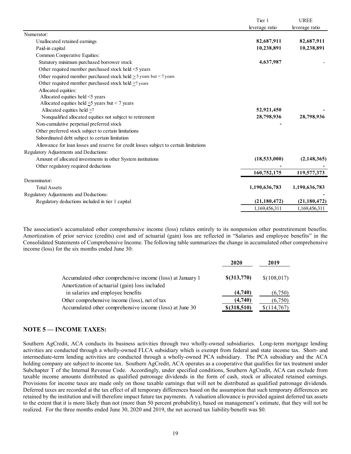| leverage ratio<br>leverage ratio<br>Numerator:<br>82,687,911<br>82,687,911<br>Unallocated retained earnings<br>Paid-in capital<br>10,238,891<br>10,238,891<br>Common Cooperative Equities:<br>Statutory minimum purchased borrower stock<br>4,637,987<br>Other required member purchased stock held <5 years<br>Other required member purchased stock held $\geq$ 5 years but < 7 years<br>Other required member purchased stock held >7 years<br>Allocated equities:<br>Allocated equities held <5 years<br>Allocated equities held $\geq$ 5 years but < 7 years<br>Allocated equities held $\geq$ 7<br>52,921,450 |  |
|---------------------------------------------------------------------------------------------------------------------------------------------------------------------------------------------------------------------------------------------------------------------------------------------------------------------------------------------------------------------------------------------------------------------------------------------------------------------------------------------------------------------------------------------------------------------------------------------------------------------|--|
|                                                                                                                                                                                                                                                                                                                                                                                                                                                                                                                                                                                                                     |  |
|                                                                                                                                                                                                                                                                                                                                                                                                                                                                                                                                                                                                                     |  |
|                                                                                                                                                                                                                                                                                                                                                                                                                                                                                                                                                                                                                     |  |
|                                                                                                                                                                                                                                                                                                                                                                                                                                                                                                                                                                                                                     |  |
|                                                                                                                                                                                                                                                                                                                                                                                                                                                                                                                                                                                                                     |  |
|                                                                                                                                                                                                                                                                                                                                                                                                                                                                                                                                                                                                                     |  |
|                                                                                                                                                                                                                                                                                                                                                                                                                                                                                                                                                                                                                     |  |
|                                                                                                                                                                                                                                                                                                                                                                                                                                                                                                                                                                                                                     |  |
|                                                                                                                                                                                                                                                                                                                                                                                                                                                                                                                                                                                                                     |  |
|                                                                                                                                                                                                                                                                                                                                                                                                                                                                                                                                                                                                                     |  |
|                                                                                                                                                                                                                                                                                                                                                                                                                                                                                                                                                                                                                     |  |
|                                                                                                                                                                                                                                                                                                                                                                                                                                                                                                                                                                                                                     |  |
|                                                                                                                                                                                                                                                                                                                                                                                                                                                                                                                                                                                                                     |  |
| 28,798,936<br>Nonqualified allocated equities not subject to retirement<br>28,798,936                                                                                                                                                                                                                                                                                                                                                                                                                                                                                                                               |  |
| Non-cumulative perpetual preferred stock                                                                                                                                                                                                                                                                                                                                                                                                                                                                                                                                                                            |  |
| Other preferred stock subject to certain limitations                                                                                                                                                                                                                                                                                                                                                                                                                                                                                                                                                                |  |
| Subordinated debt subject to certain limitation                                                                                                                                                                                                                                                                                                                                                                                                                                                                                                                                                                     |  |
| Allowance for loan losses and reserve for credit losses subject to certain limitations                                                                                                                                                                                                                                                                                                                                                                                                                                                                                                                              |  |
| Regulatory Adjustments and Deductions:                                                                                                                                                                                                                                                                                                                                                                                                                                                                                                                                                                              |  |
| (2,148,365)<br>(18,533,000)<br>Amount of allocated investments in other System institutions                                                                                                                                                                                                                                                                                                                                                                                                                                                                                                                         |  |
| Other regulatory required deductions                                                                                                                                                                                                                                                                                                                                                                                                                                                                                                                                                                                |  |
| 160,752,175<br>119,577,373                                                                                                                                                                                                                                                                                                                                                                                                                                                                                                                                                                                          |  |
| Denominator:                                                                                                                                                                                                                                                                                                                                                                                                                                                                                                                                                                                                        |  |
| 1,190,636,783<br>1,190,636,783<br><b>Total Assets</b>                                                                                                                                                                                                                                                                                                                                                                                                                                                                                                                                                               |  |
| Regulatory Adjustments and Deductions:                                                                                                                                                                                                                                                                                                                                                                                                                                                                                                                                                                              |  |
| (21, 180, 472)<br>(21, 180, 472)<br>Regulatory deductions included in tier 1 capital                                                                                                                                                                                                                                                                                                                                                                                                                                                                                                                                |  |
| 1,169,456,311<br>1,169,456,311                                                                                                                                                                                                                                                                                                                                                                                                                                                                                                                                                                                      |  |

The association's accumulated other comprehensive income (loss) relates entirely to its nonpension other postretirement benefits. Amortization of prior service (credits) cost and of actuarial (gain) loss are reflected in "Salaries and employee benefits" in the Consolidated Statements of Comprehensive Income. The following table summarizes the change in accumulated other comprehensive income (loss) for the six months ended June 30:

|                                                                                                              | 2020            | 2019        |
|--------------------------------------------------------------------------------------------------------------|-----------------|-------------|
| Accumulated other comprehensive income (loss) at January 1<br>Amortization of actuarial (gain) loss included | $$$ (313,770)   | \$(108,017) |
| in salaries and employee benefits                                                                            | (4,740)         | (6,750)     |
| Other comprehensive income (loss), net of tax                                                                | (4,740)         | (6,750)     |
| Accumulated other comprehensive income (loss) at June 30                                                     | $$$ $(318,510)$ | \$(114,767) |

# **NOTE 5 — INCOME TAXES:**

Southern AgCredit, ACA conducts its business activities through two wholly-owned subsidiaries. Long-term mortgage lending activities are conducted through a wholly-owned FLCA subsidiary which is exempt from federal and state income tax. Short- and intermediate-term lending activities are conducted through a wholly-owned PCA subsidiary. The PCA subsidiary and the ACA holding company are subject to income tax. Southern AgCredit, ACA operates as a cooperative that qualifies for tax treatment under Subchapter T of the Internal Revenue Code. Accordingly, under specified conditions, Southern AgCredit, ACA can exclude from taxable income amounts distributed as qualified patronage dividends in the form of cash, stock or allocated retained earnings. Provisions for income taxes are made only on those taxable earnings that will not be distributed as qualified patronage dividends. Deferred taxes are recorded at the tax effect of all temporary differences based on the assumption that such temporary differences are retained by the institution and will therefore impact future tax payments. A valuation allowance is provided against deferred tax assets to the extent that it is more likely than not (more than 50 percent probability), based on management's estimate, that they will not be realized. For the three months ended June 30, 2020 and 2019, the net accrued tax liability/benefit was \$0.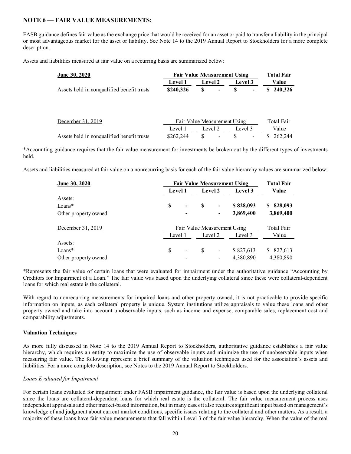# **NOTE 6 — FAIR VALUE MEASUREMENTS:**

FASB guidance defines fair value as the exchange price that would be received for an asset or paid to transfer a liability in the principal or most advantageous market for the asset or liability. See Note 14 to the 2019 Annual Report to Stockholders for a more complete description.

Assets and liabilities measured at fair value on a recurring basis are summarized below:

| <b>June 30, 2020</b>                       | <b>Fair Value Measurement Using</b> |                              |         |               |  |  |  |
|--------------------------------------------|-------------------------------------|------------------------------|---------|---------------|--|--|--|
|                                            | <b>Level 1</b>                      | <b>Level 2</b>               | Level 3 | Value         |  |  |  |
| Assets held in nonqualified benefit trusts | \$240,326                           | S<br>$\blacksquare$          | S<br>-  | 240,326<br>S. |  |  |  |
|                                            |                                     |                              |         |               |  |  |  |
| December 31, 2019                          |                                     | Fair Value Measurement Using |         | Total Fair    |  |  |  |
|                                            | Level 1                             | Level 2                      | Level 3 | Value         |  |  |  |
| Assets held in nonqualified benefit trusts | \$262,244                           | S                            |         | 262,244       |  |  |  |

\*Accounting guidance requires that the fair value measurement for investments be broken out by the different types of investments held.

Assets and liabilities measured at fair value on a nonrecurring basis for each of the fair value hierarchy values are summarized below:

| <b>June 30, 2020</b> | <b>Fair Value Measurement Using</b> |                              |            |                              |           |              |  |
|----------------------|-------------------------------------|------------------------------|------------|------------------------------|-----------|--------------|--|
|                      |                                     | Level 1                      |            | Level 2                      | Level 3   | Value        |  |
| Assets:              |                                     |                              |            |                              |           |              |  |
| $Loans*$             | S                                   | $\overline{\phantom{a}}$     | S          | $\overline{\phantom{a}}$     | \$828,093 | 828,093<br>S |  |
| Other property owned |                                     |                              |            |                              | 3,869,400 | 3,869,400    |  |
| December 31, 2019    |                                     | Fair Value Measurement Using | Total Fair |                              |           |              |  |
|                      | Level 1                             |                              |            | Level 2                      | Level 3   | Value        |  |
| Assets:              |                                     |                              |            |                              |           |              |  |
| $Loans*$             | S                                   | $\overline{\phantom{a}}$     | \$         | $\qquad \qquad \blacksquare$ | \$827,613 | 827,613<br>S |  |
| Other property owned |                                     |                              |            |                              | 4,380,890 | 4,380,890    |  |

\*Represents the fair value of certain loans that were evaluated for impairment under the authoritative guidance "Accounting by Creditors for Impairment of a Loan." The fair value was based upon the underlying collateral since these were collateral-dependent loans for which real estate is the collateral.

With regard to nonrecurring measurements for impaired loans and other property owned, it is not practicable to provide specific information on inputs, as each collateral property is unique. System institutions utilize appraisals to value these loans and other property owned and take into account unobservable inputs, such as income and expense, comparable sales, replacement cost and comparability adjustments.

## **Valuation Techniques**

As more fully discussed in Note 14 to the 2019 Annual Report to Stockholders, authoritative guidance establishes a fair value hierarchy, which requires an entity to maximize the use of observable inputs and minimize the use of unobservable inputs when measuring fair value. The following represent a brief summary of the valuation techniques used for the association's assets and liabilities. For a more complete description, see Notes to the 2019 Annual Report to Stockholders.

#### *Loans Evaluated for Impairment*

For certain loans evaluated for impairment under FASB impairment guidance, the fair value is based upon the underlying collateral since the loans are collateral-dependent loans for which real estate is the collateral. The fair value measurement process uses independent appraisals and other market-based information, but in many cases it also requires significant input based on management's knowledge of and judgment about current market conditions, specific issues relating to the collateral and other matters. As a result, a majority of these loans have fair value measurements that fall within Level 3 of the fair value hierarchy. When the value of the real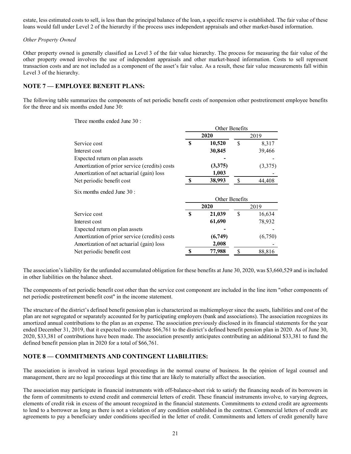estate, less estimated costs to sell, is less than the principal balance of the loan, a specific reserve is established. The fair value of these loans would fall under Level 2 of the hierarchy if the process uses independent appraisals and other market-based information.

## *Other Property Owned*

Other property owned is generally classified as Level 3 of the fair value hierarchy. The process for measuring the fair value of the other property owned involves the use of independent appraisals and other market-based information. Costs to sell represent transaction costs and are not included as a component of the asset's fair value. As a result, these fair value measurements fall within Level 3 of the hierarchy.

## **NOTE 7 — EMPLOYEE BENEFIT PLANS:**

The following table summarizes the components of net periodic benefit costs of nonpension other postretirement employee benefits for the three and six months ended June 30:

Other Benefits

Three months ended June 30 :

|                                               | <b>OUICL DELICITIS</b> |                |               |         |  |
|-----------------------------------------------|------------------------|----------------|---------------|---------|--|
|                                               |                        | 2020           | 2019          |         |  |
| Service cost                                  | S                      | 10,520         | \$            | 8,317   |  |
| Interest cost                                 |                        | 30,845         |               | 39,466  |  |
| Expected return on plan assets                |                        |                |               |         |  |
| Amortization of prior service (credits) costs |                        | (3,375)        |               | (3,375) |  |
| Amortization of net actuarial (gain) loss     |                        | 1,003          |               |         |  |
| Net periodic benefit cost                     | -S                     | 38,993         | <sup>\$</sup> | 44,408  |  |
| Six months ended June 30:                     |                        | Other Benefits |               |         |  |
|                                               | 2020                   |                | 2019          |         |  |
| Service cost                                  | S                      | 21,039         | \$            | 16,634  |  |
| Interest cost                                 |                        | 61,690         |               | 78,932  |  |
| Expected return on plan assets                |                        |                |               |         |  |
| Amortization of prior service (credits) costs |                        | (6,749)        |               | (6,750) |  |
| Amortization of net actuarial (gain) loss     |                        | 2,008          |               |         |  |
| Net periodic benefit cost                     | \$                     | 77,988         | S             | 88,816  |  |

The association's liability for the unfunded accumulated obligation for these benefits at June 30, 2020, was \$3,660,529 and is included in other liabilities on the balance sheet.

The components of net periodic benefit cost other than the service cost component are included in the line item "other components of net periodic postretirement benefit cost" in the income statement.

The structure of the district's defined benefit pension plan is characterized as multiemployer since the assets, liabilities and cost of the plan are not segregated or separately accounted for by participating employers (bank and associations). The association recognizes its amortized annual contributions to the plan as an expense. The association previously disclosed in its financial statements for the year ended December 31, 2019, that it expected to contribute \$66,761 to the district's defined benefit pension plan in 2020. As of June 30, 2020, \$33,381 of contributions have been made. The association presently anticipates contributing an additional \$33,381 to fund the defined benefit pension plan in 2020 for a total of \$66,761.

# **NOTE 8 — COMMITMENTS AND CONTINGENT LIABILITIES:**

The association is involved in various legal proceedings in the normal course of business. In the opinion of legal counsel and management, there are no legal proceedings at this time that are likely to materially affect the association.

The association may participate in financial instruments with off-balance-sheet risk to satisfy the financing needs of its borrowers in the form of commitments to extend credit and commercial letters of credit. These financial instruments involve, to varying degrees, elements of credit risk in excess of the amount recognized in the financial statements. Commitments to extend credit are agreements to lend to a borrower as long as there is not a violation of any condition established in the contract. Commercial letters of credit are agreements to pay a beneficiary under conditions specified in the letter of credit. Commitments and letters of credit generally have